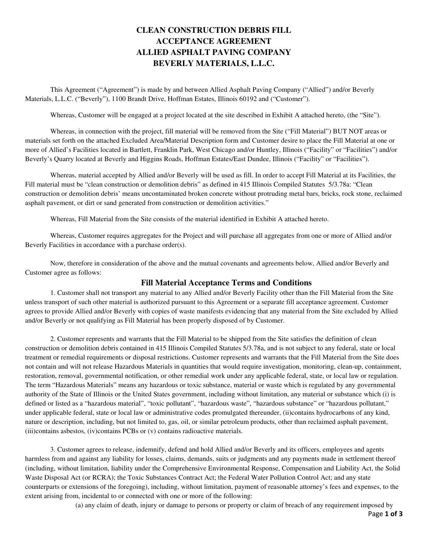# **CLEAN CONSTRUCTION DEBRIS FILL ACCEPTANCE AGREEMENT ALLIED ASPHALT PAVING COMPANY BEVERLY MATERIALS, L.L.C.**

This Agreement ("Agreement") is made by and between Allied Asphalt Paving Company ("Allied") and/or Beverly Materials, L.L.C. ("Beverly"), 1100 Brandt Drive, Hoffman Estates, Illinois 60192 and ("Customer").

Whereas, Customer will be engaged at a project located at the site described in Exhibit A attached hereto, (the "Site").

Whereas, in connection with the project, fill material will be removed from the Site ("Fill Material") BUT NOT areas or materials set forth on the attached Excluded Area/Material Description form and Customer desire to place the Fill Material at one or more of Allied's Facilities located in Bartlett, Franklin Park, West Chicago and/or Huntley, Illinois ("Facility" or "Facilities") and/or Beverly's Quarry located at Beverly and Higgins Roads, Hoffman Estates/East Dundee, Illinois ("Facility" or "Facilities").

Whereas, material accepted by Allied and/or Beverly will be used as fill. In order to accept Fill Material at its Facilities, the Fill material must be "clean construction or demolition debris" as defined in 415 Illinois Compiled Statutes 5/3.78a: "Clean construction or demolition debris' means uncontaminated broken concrete without protruding metal bars, bricks, rock stone, reclaimed asphalt pavement, or dirt or sand generated from construction or demolition activities."

Whereas, Fill Material from the Site consists of the material identified in Exhibit A attached hereto.

Whereas, Customer requires aggregates for the Project and will purchase all aggregates from one or more of Allied and/or Beverly Facilities in accordance with a purchase order(s).

Now, therefore in consideration of the above and the mutual covenants and agreements below, Allied and/or Beverly and Customer agree as follows:

#### **Fill Material Acceptance Terms and Conditions**

1. Customer shall not transport any material to any Allied and/or Beverly Facility other than the Fill Material from the Site unless transport of such other material is authorized pursuant to this Agreement or a separate fill acceptance agreement. Customer agrees to provide Allied and/or Beverly with copies of waste manifests evidencing that any material from the Site excluded by Allied and/or Beverly or not qualifying as Fill Material has been properly disposed of by Customer.

2. Customer represents and warrants that the Fill Material to be shipped from the Site satisfies the definition of clean construction or demolition debris contained in 415 Illinois Compiled Statutes 5/3.78a, and is not subject to any federal, state or local treatment or remedial requirements or disposal restrictions. Customer represents and warrants that the Fill Material from the Site does not contain and will not release Hazardous Materials in quantities that would require investigation, monitoring, clean-up, containment, restoration, removal, governmental notification, or other remedial work under any applicable federal, state, or local law or regulation. The term "Hazardous Materials" means any hazardous or toxic substance, material or waste which is regulated by any governmental authority of the State of Illinois or the United States government, including without limitation, any material or substance which (i) is defined or listed as a "hazardous material", "toxic pollutant", "hazardous waste", "hazardous substance" or "hazardous pollutant," under applicable federal, state or local law or administrative codes promulgated thereunder, (ii)contains hydrocarbons of any kind, nature or description, including, but not limited to, gas, oil, or similar petroleum products, other than reclaimed asphalt pavement, (iii)contains asbestos, (iv)contains PCBs or (v) contains radioactive materials.

3. Customer agrees to release, indemnify, defend and hold Allied and/or Beverly and its officers, employees and agents harmless from and against any liability for losses, claims, demands, suits or judgments and any payments made in settlement thereof (including, without limitation, liability under the Comprehensive Environmental Response, Compensation and Liability Act, the Solid Waste Disposal Act (or RCRA); the Toxic Substances Contract Act; the Federal Water Pollution Control Act; and any state counterparts or extensions of the foregoing), including, without limitation, payment of reasonable attorney's fees and expenses, to the extent arising from, incidental to or connected with one or more of the following:

Page **1 of 3** (a) any claim of death, injury or damage to persons or property or claim of breach of any requirement imposed by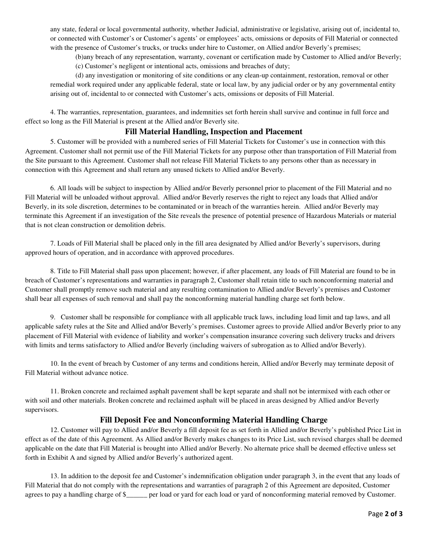any state, federal or local governmental authority, whether Judicial, administrative or legislative, arising out of, incidental to, or connected with Customer's or Customer's agents' or employees' acts, omissions or deposits of Fill Material or connected with the presence of Customer's trucks, or trucks under hire to Customer, on Allied and/or Beverly's premises;

(b)any breach of any representation, warranty, covenant or certification made by Customer to Allied and/or Beverly; (c) Customer's negligent or intentional acts, omissions and breaches of duty;

(d) any investigation or monitoring of site conditions or any clean-up containment, restoration, removal or other remedial work required under any applicable federal, state or local law, by any judicial order or by any governmental entity arising out of, incidental to or connected with Customer's acts, omissions or deposits of Fill Material.

4. The warranties, representation, guarantees, and indemnities set forth herein shall survive and continue in full force and effect so long as the Fill Material is present at the Allied and/or Beverly site.

#### **Fill Material Handling, Inspection and Placement**

5. Customer will be provided with a numbered series of Fill Material Tickets for Customer's use in connection with this Agreement. Customer shall not permit use of the Fill Material Tickets for any purpose other than transportation of Fill Material from the Site pursuant to this Agreement. Customer shall not release Fill Material Tickets to any persons other than as necessary in connection with this Agreement and shall return any unused tickets to Allied and/or Beverly.

6. All loads will be subject to inspection by Allied and/or Beverly personnel prior to placement of the Fill Material and no Fill Material will be unloaded without approval. Allied and/or Beverly reserves the right to reject any loads that Allied and/or Beverly, in its sole discretion, determines to be contaminated or in breach of the warranties herein. Allied and/or Beverly may terminate this Agreement if an investigation of the Site reveals the presence of potential presence of Hazardous Materials or material that is not clean construction or demolition debris.

7. Loads of Fill Material shall be placed only in the fill area designated by Allied and/or Beverly's supervisors, during approved hours of operation, and in accordance with approved procedures.

8. Title to Fill Material shall pass upon placement; however, if after placement, any loads of Fill Material are found to be in breach of Customer's representations and warranties in paragraph 2, Customer shall retain title to such nonconforming material and Customer shall promptly remove such material and any resulting contamination to Allied and/or Beverly's premises and Customer shall bear all expenses of such removal and shall pay the nonconforming material handling charge set forth below.

9. Customer shall be responsible for compliance with all applicable truck laws, including load limit and tap laws, and all applicable safety rules at the Site and Allied and/or Beverly's premises. Customer agrees to provide Allied and/or Beverly prior to any placement of Fill Material with evidence of liability and worker's compensation insurance covering such delivery trucks and drivers with limits and terms satisfactory to Allied and/or Beverly (including waivers of subrogation as to Allied and/or Beverly).

10. In the event of breach by Customer of any terms and conditions herein, Allied and/or Beverly may terminate deposit of Fill Material without advance notice.

11. Broken concrete and reclaimed asphalt pavement shall be kept separate and shall not be intermixed with each other or with soil and other materials. Broken concrete and reclaimed asphalt will be placed in areas designed by Allied and/or Beverly supervisors.

#### **Fill Deposit Fee and Nonconforming Material Handling Charge**

12. Customer will pay to Allied and/or Beverly a fill deposit fee as set forth in Allied and/or Beverly's published Price List in effect as of the date of this Agreement. As Allied and/or Beverly makes changes to its Price List, such revised charges shall be deemed applicable on the date that Fill Material is brought into Allied and/or Beverly. No alternate price shall be deemed effective unless set forth in Exhibit A and signed by Allied and/or Beverly's authorized agent.

13. In addition to the deposit fee and Customer's indemnification obligation under paragraph 3, in the event that any loads of Fill Material that do not comply with the representations and warranties of paragraph 2 of this Agreement are deposited, Customer agrees to pay a handling charge of \$\_\_\_\_\_\_ per load or yard for each load or yard of nonconforming material removed by Customer.